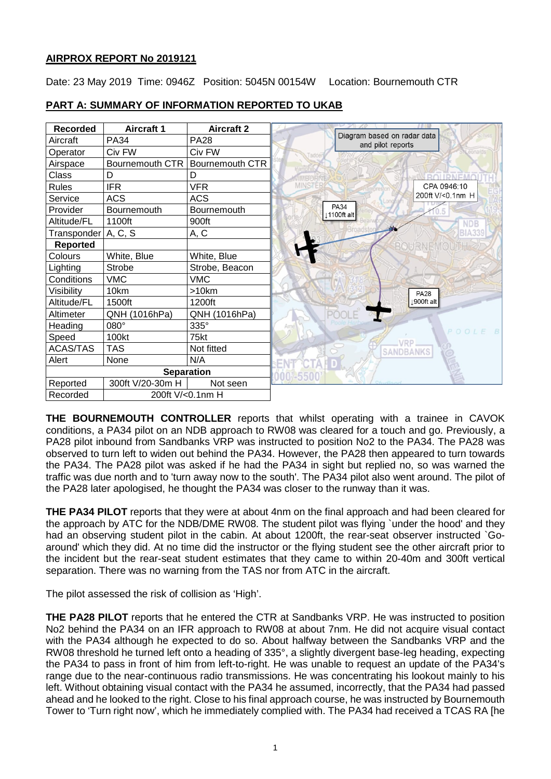## **AIRPROX REPORT No 2019121**

Date: 23 May 2019 Time: 0946Z Position: 5045N 00154W Location: Bournemouth CTR



## **PART A: SUMMARY OF INFORMATION REPORTED TO UKAB**

**THE BOURNEMOUTH CONTROLLER** reports that whilst operating with a trainee in CAVOK conditions, a PA34 pilot on an NDB approach to RW08 was cleared for a touch and go. Previously, a PA28 pilot inbound from Sandbanks VRP was instructed to position No2 to the PA34. The PA28 was observed to turn left to widen out behind the PA34. However, the PA28 then appeared to turn towards the PA34. The PA28 pilot was asked if he had the PA34 in sight but replied no, so was warned the traffic was due north and to 'turn away now to the south'. The PA34 pilot also went around. The pilot of the PA28 later apologised, he thought the PA34 was closer to the runway than it was.

**THE PA34 PILOT** reports that they were at about 4nm on the final approach and had been cleared for the approach by ATC for the NDB/DME RW08. The student pilot was flying `under the hood' and they had an observing student pilot in the cabin. At about 1200ft, the rear-seat observer instructed `Goaround' which they did. At no time did the instructor or the flying student see the other aircraft prior to the incident but the rear-seat student estimates that they came to within 20-40m and 300ft vertical separation. There was no warning from the TAS nor from ATC in the aircraft.

The pilot assessed the risk of collision as 'High'.

**THE PA28 PILOT** reports that he entered the CTR at Sandbanks VRP. He was instructed to position No2 behind the PA34 on an IFR approach to RW08 at about 7nm. He did not acquire visual contact with the PA34 although he expected to do so. About halfway between the Sandbanks VRP and the RW08 threshold he turned left onto a heading of 335°, a slightly divergent base-leg heading, expecting the PA34 to pass in front of him from left-to-right. He was unable to request an update of the PA34's range due to the near-continuous radio transmissions. He was concentrating his lookout mainly to his left. Without obtaining visual contact with the PA34 he assumed, incorrectly, that the PA34 had passed ahead and he looked to the right. Close to his final approach course, he was instructed by Bournemouth Tower to 'Turn right now', which he immediately complied with. The PA34 had received a TCAS RA [he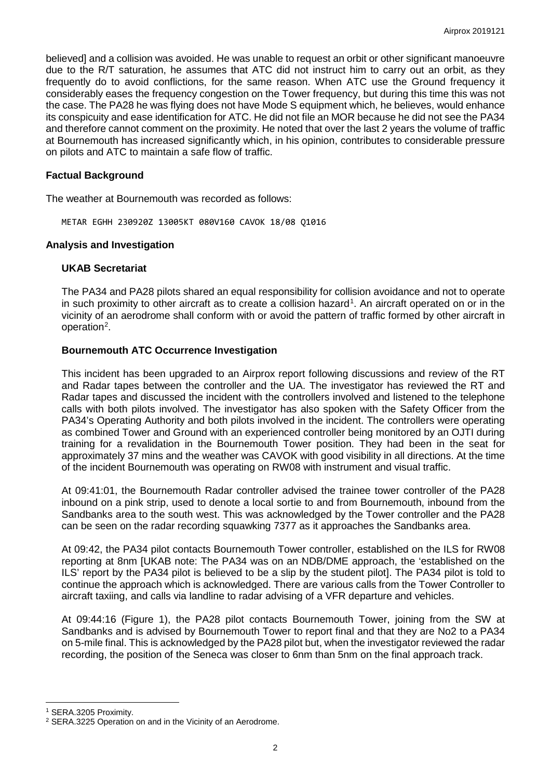believed] and a collision was avoided. He was unable to request an orbit or other significant manoeuvre due to the R/T saturation, he assumes that ATC did not instruct him to carry out an orbit, as they frequently do to avoid conflictions, for the same reason. When ATC use the Ground frequency it considerably eases the frequency congestion on the Tower frequency, but during this time this was not the case. The PA28 he was flying does not have Mode S equipment which, he believes, would enhance its conspicuity and ease identification for ATC. He did not file an MOR because he did not see the PA34 and therefore cannot comment on the proximity. He noted that over the last 2 years the volume of traffic at Bournemouth has increased significantly which, in his opinion, contributes to considerable pressure on pilots and ATC to maintain a safe flow of traffic.

### **Factual Background**

The weather at Bournemouth was recorded as follows:

METAR EGHH 230920Z 13005KT 080V160 CAVOK 18/08 Q1016

### **Analysis and Investigation**

### **UKAB Secretariat**

The PA34 and PA28 pilots shared an equal responsibility for collision avoidance and not to operate in such proximity to other aircraft as to create a collision hazard<sup>[1](#page-1-0)</sup>. An aircraft operated on or in the vicinity of an aerodrome shall conform with or avoid the pattern of traffic formed by other aircraft in operation<sup>[2](#page-1-1)</sup>.

### **Bournemouth ATC Occurrence Investigation**

This incident has been upgraded to an Airprox report following discussions and review of the RT and Radar tapes between the controller and the UA. The investigator has reviewed the RT and Radar tapes and discussed the incident with the controllers involved and listened to the telephone calls with both pilots involved. The investigator has also spoken with the Safety Officer from the PA34's Operating Authority and both pilots involved in the incident. The controllers were operating as combined Tower and Ground with an experienced controller being monitored by an OJTI during training for a revalidation in the Bournemouth Tower position. They had been in the seat for approximately 37 mins and the weather was CAVOK with good visibility in all directions. At the time of the incident Bournemouth was operating on RW08 with instrument and visual traffic.

At 09:41:01, the Bournemouth Radar controller advised the trainee tower controller of the PA28 inbound on a pink strip, used to denote a local sortie to and from Bournemouth, inbound from the Sandbanks area to the south west. This was acknowledged by the Tower controller and the PA28 can be seen on the radar recording squawking 7377 as it approaches the Sandbanks area.

At 09:42, the PA34 pilot contacts Bournemouth Tower controller, established on the ILS for RW08 reporting at 8nm [UKAB note: The PA34 was on an NDB/DME approach, the 'established on the ILS' report by the PA34 pilot is believed to be a slip by the student pilot]. The PA34 pilot is told to continue the approach which is acknowledged. There are various calls from the Tower Controller to aircraft taxiing, and calls via landline to radar advising of a VFR departure and vehicles.

At 09:44:16 (Figure 1), the PA28 pilot contacts Bournemouth Tower, joining from the SW at Sandbanks and is advised by Bournemouth Tower to report final and that they are No2 to a PA34 on 5-mile final. This is acknowledged by the PA28 pilot but, when the investigator reviewed the radar recording, the position of the Seneca was closer to 6nm than 5nm on the final approach track.

 $\overline{\phantom{a}}$ 

<span id="page-1-0"></span><sup>1</sup> SERA.3205 Proximity.

<span id="page-1-1"></span><sup>2</sup> SERA.3225 Operation on and in the Vicinity of an Aerodrome.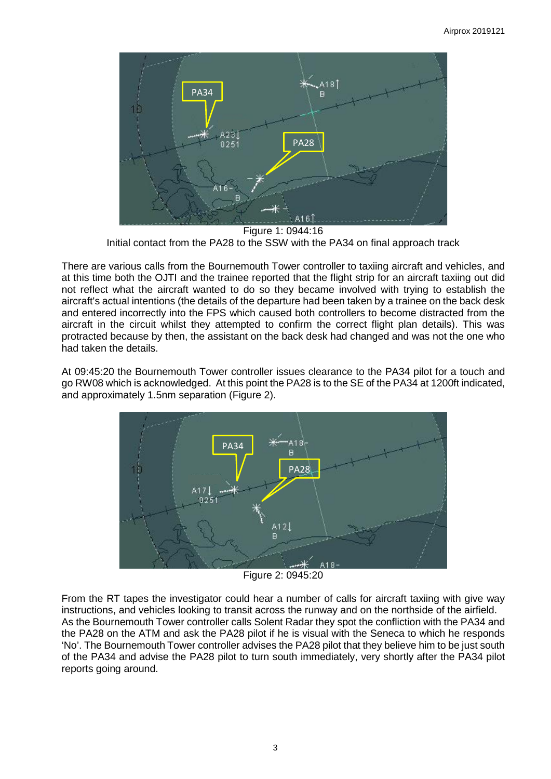

Figure 1: 0944:16 Initial contact from the PA28 to the SSW with the PA34 on final approach track

There are various calls from the Bournemouth Tower controller to taxiing aircraft and vehicles, and at this time both the OJTI and the trainee reported that the flight strip for an aircraft taxiing out did not reflect what the aircraft wanted to do so they became involved with trying to establish the aircraft's actual intentions (the details of the departure had been taken by a trainee on the back desk and entered incorrectly into the FPS which caused both controllers to become distracted from the aircraft in the circuit whilst they attempted to confirm the correct flight plan details). This was protracted because by then, the assistant on the back desk had changed and was not the one who had taken the details.

At 09:45:20 the Bournemouth Tower controller issues clearance to the PA34 pilot for a touch and go RW08 which is acknowledged. At this point the PA28 is to the SE of the PA34 at 1200ft indicated, and approximately 1.5nm separation (Figure 2).



Figure 2: 0945:20

From the RT tapes the investigator could hear a number of calls for aircraft taxiing with give way instructions, and vehicles looking to transit across the runway and on the northside of the airfield. As the Bournemouth Tower controller calls Solent Radar they spot the confliction with the PA34 and the PA28 on the ATM and ask the PA28 pilot if he is visual with the Seneca to which he responds 'No'. The Bournemouth Tower controller advises the PA28 pilot that they believe him to be just south of the PA34 and advise the PA28 pilot to turn south immediately, very shortly after the PA34 pilot reports going around.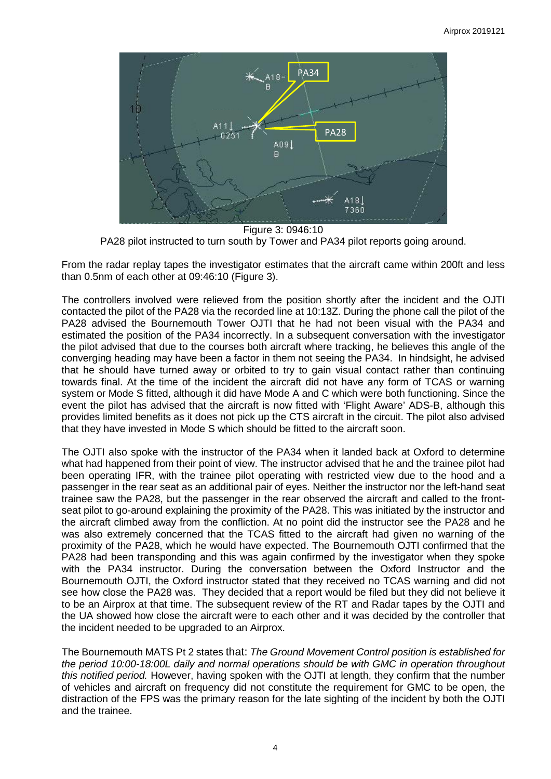

Figure 3: 0946:10 PA28 pilot instructed to turn south by Tower and PA34 pilot reports going around.

From the radar replay tapes the investigator estimates that the aircraft came within 200ft and less than 0.5nm of each other at 09:46:10 (Figure 3).

The controllers involved were relieved from the position shortly after the incident and the OJTI contacted the pilot of the PA28 via the recorded line at 10:13Z. During the phone call the pilot of the PA28 advised the Bournemouth Tower OJTI that he had not been visual with the PA34 and estimated the position of the PA34 incorrectly. In a subsequent conversation with the investigator the pilot advised that due to the courses both aircraft where tracking, he believes this angle of the converging heading may have been a factor in them not seeing the PA34. In hindsight, he advised that he should have turned away or orbited to try to gain visual contact rather than continuing towards final. At the time of the incident the aircraft did not have any form of TCAS or warning system or Mode S fitted, although it did have Mode A and C which were both functioning. Since the event the pilot has advised that the aircraft is now fitted with 'Flight Aware' ADS-B, although this provides limited benefits as it does not pick up the CTS aircraft in the circuit. The pilot also advised that they have invested in Mode S which should be fitted to the aircraft soon.

The OJTI also spoke with the instructor of the PA34 when it landed back at Oxford to determine what had happened from their point of view. The instructor advised that he and the trainee pilot had been operating IFR, with the trainee pilot operating with restricted view due to the hood and a passenger in the rear seat as an additional pair of eyes. Neither the instructor nor the left-hand seat trainee saw the PA28, but the passenger in the rear observed the aircraft and called to the frontseat pilot to go-around explaining the proximity of the PA28. This was initiated by the instructor and the aircraft climbed away from the confliction. At no point did the instructor see the PA28 and he was also extremely concerned that the TCAS fitted to the aircraft had given no warning of the proximity of the PA28, which he would have expected. The Bournemouth OJTI confirmed that the PA28 had been transponding and this was again confirmed by the investigator when they spoke with the PA34 instructor. During the conversation between the Oxford Instructor and the Bournemouth OJTI, the Oxford instructor stated that they received no TCAS warning and did not see how close the PA28 was. They decided that a report would be filed but they did not believe it to be an Airprox at that time. The subsequent review of the RT and Radar tapes by the OJTI and the UA showed how close the aircraft were to each other and it was decided by the controller that the incident needed to be upgraded to an Airprox.

The Bournemouth MATS Pt 2 states that: *The Ground Movement Control position is established for the period 10:00-18:00L daily and normal operations should be with GMC in operation throughout this notified period.* However, having spoken with the OJTI at length, they confirm that the number of vehicles and aircraft on frequency did not constitute the requirement for GMC to be open, the distraction of the FPS was the primary reason for the late sighting of the incident by both the OJTI and the trainee.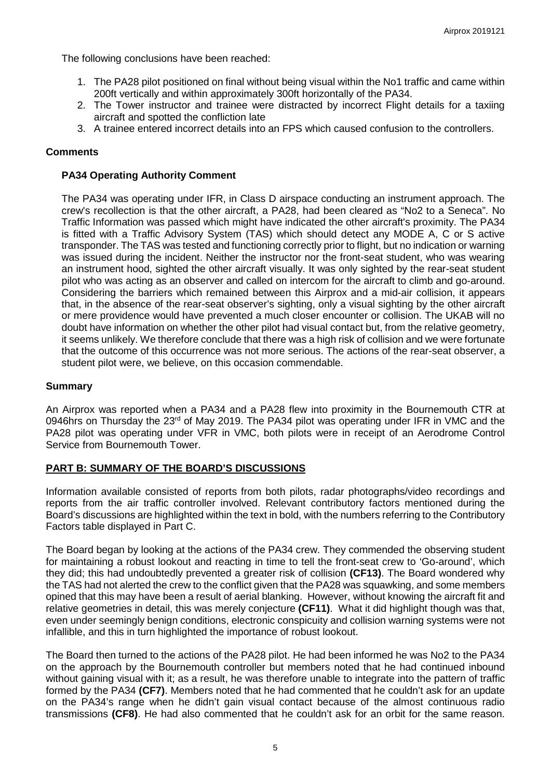The following conclusions have been reached:

- 1. The PA28 pilot positioned on final without being visual within the No1 traffic and came within 200ft vertically and within approximately 300ft horizontally of the PA34.
- 2. The Tower instructor and trainee were distracted by incorrect Flight details for a taxiing aircraft and spotted the confliction late
- 3. A trainee entered incorrect details into an FPS which caused confusion to the controllers.

### **Comments**

### **PA34 Operating Authority Comment**

The PA34 was operating under IFR, in Class D airspace conducting an instrument approach. The crew's recollection is that the other aircraft, a PA28, had been cleared as "No2 to a Seneca". No Traffic Information was passed which might have indicated the other aircraft's proximity. The PA34 is fitted with a Traffic Advisory System (TAS) which should detect any MODE A, C or S active transponder. The TAS was tested and functioning correctly prior to flight, but no indication or warning was issued during the incident. Neither the instructor nor the front-seat student, who was wearing an instrument hood, sighted the other aircraft visually. It was only sighted by the rear-seat student pilot who was acting as an observer and called on intercom for the aircraft to climb and go-around. Considering the barriers which remained between this Airprox and a mid-air collision, it appears that, in the absence of the rear-seat observer's sighting, only a visual sighting by the other aircraft or mere providence would have prevented a much closer encounter or collision. The UKAB will no doubt have information on whether the other pilot had visual contact but, from the relative geometry, it seems unlikely. We therefore conclude that there was a high risk of collision and we were fortunate that the outcome of this occurrence was not more serious. The actions of the rear-seat observer, a student pilot were, we believe, on this occasion commendable.

### **Summary**

An Airprox was reported when a PA34 and a PA28 flew into proximity in the Bournemouth CTR at 0946hrs on Thursday the  $23<sup>rd</sup>$  of May 2019. The PA34 pilot was operating under IFR in VMC and the PA28 pilot was operating under VFR in VMC, both pilots were in receipt of an Aerodrome Control Service from Bournemouth Tower.

## **PART B: SUMMARY OF THE BOARD'S DISCUSSIONS**

Information available consisted of reports from both pilots, radar photographs/video recordings and reports from the air traffic controller involved. Relevant contributory factors mentioned during the Board's discussions are highlighted within the text in bold, with the numbers referring to the Contributory Factors table displayed in Part C.

The Board began by looking at the actions of the PA34 crew. They commended the observing student for maintaining a robust lookout and reacting in time to tell the front-seat crew to 'Go-around', which they did; this had undoubtedly prevented a greater risk of collision **(CF13)**. The Board wondered why the TAS had not alerted the crew to the conflict given that the PA28 was squawking, and some members opined that this may have been a result of aerial blanking. However, without knowing the aircraft fit and relative geometries in detail, this was merely conjecture **(CF11)**. What it did highlight though was that, even under seemingly benign conditions, electronic conspicuity and collision warning systems were not infallible, and this in turn highlighted the importance of robust lookout.

The Board then turned to the actions of the PA28 pilot. He had been informed he was No2 to the PA34 on the approach by the Bournemouth controller but members noted that he had continued inbound without gaining visual with it; as a result, he was therefore unable to integrate into the pattern of traffic formed by the PA34 **(CF7)**. Members noted that he had commented that he couldn't ask for an update on the PA34's range when he didn't gain visual contact because of the almost continuous radio transmissions **(CF8)**. He had also commented that he couldn't ask for an orbit for the same reason.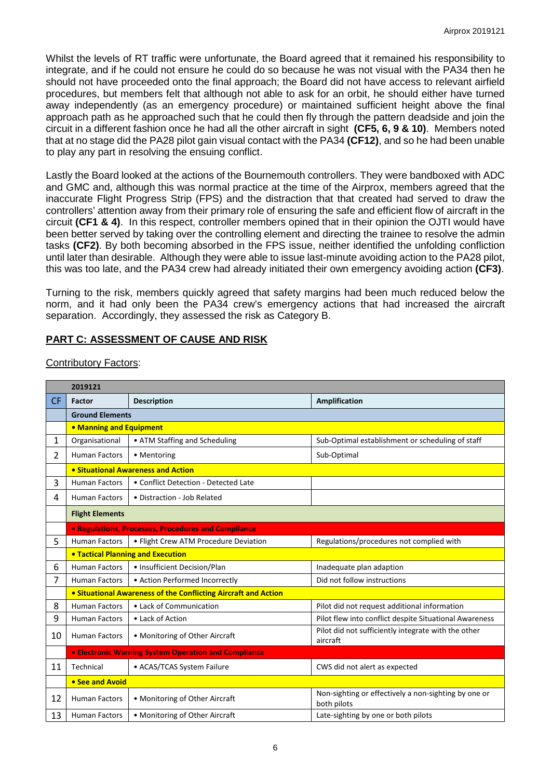Whilst the levels of RT traffic were unfortunate, the Board agreed that it remained his responsibility to integrate, and if he could not ensure he could do so because he was not visual with the PA34 then he should not have proceeded onto the final approach; the Board did not have access to relevant airfield procedures, but members felt that although not able to ask for an orbit, he should either have turned away independently (as an emergency procedure) or maintained sufficient height above the final approach path as he approached such that he could then fly through the pattern deadside and join the circuit in a different fashion once he had all the other aircraft in sight **(CF5, 6, 9 & 10)**. Members noted that at no stage did the PA28 pilot gain visual contact with the PA34 **(CF12)**, and so he had been unable to play any part in resolving the ensuing conflict.

Lastly the Board looked at the actions of the Bournemouth controllers. They were bandboxed with ADC and GMC and, although this was normal practice at the time of the Airprox, members agreed that the inaccurate Flight Progress Strip (FPS) and the distraction that that created had served to draw the controllers' attention away from their primary role of ensuring the safe and efficient flow of aircraft in the circuit **(CF1 & 4)**. In this respect, controller members opined that in their opinion the OJTI would have been better served by taking over the controlling element and directing the trainee to resolve the admin tasks **(CF2)**. By both becoming absorbed in the FPS issue, neither identified the unfolding confliction until later than desirable. Although they were able to issue last-minute avoiding action to the PA28 pilot, this was too late, and the PA34 crew had already initiated their own emergency avoiding action **(CF3)**.

Turning to the risk, members quickly agreed that safety margins had been much reduced below the norm, and it had only been the PA34 crew's emergency actions that had increased the aircraft separation. Accordingly, they assessed the risk as Category B.

# **PART C: ASSESSMENT OF CAUSE AND RISK**

| 2019121   |                                                                |                                                            |                                                                     |
|-----------|----------------------------------------------------------------|------------------------------------------------------------|---------------------------------------------------------------------|
| <b>CF</b> | Factor                                                         | <b>Description</b>                                         | <b>Amplification</b>                                                |
|           | <b>Ground Elements</b>                                         |                                                            |                                                                     |
|           | • Manning and Equipment                                        |                                                            |                                                                     |
| 1         | Organisational                                                 | • ATM Staffing and Scheduling                              | Sub-Optimal establishment or scheduling of staff                    |
| 2         | <b>Human Factors</b>                                           | • Mentoring                                                | Sub-Optimal                                                         |
|           | • Situational Awareness and Action                             |                                                            |                                                                     |
| 3         | <b>Human Factors</b>                                           | • Conflict Detection - Detected Late                       |                                                                     |
| 4         | <b>Human Factors</b>                                           | • Distraction - Job Related                                |                                                                     |
|           | <b>Flight Elements</b>                                         |                                                            |                                                                     |
|           |                                                                | <b>• Regulations, Processes, Procedures and Compliance</b> |                                                                     |
| 5         | <b>Human Factors</b>                                           | • Flight Crew ATM Procedure Deviation                      | Regulations/procedures not complied with                            |
|           | <b>. Tactical Planning and Execution</b>                       |                                                            |                                                                     |
| 6         | <b>Human Factors</b>                                           | • Insufficient Decision/Plan                               | Inadequate plan adaption                                            |
| 7         | <b>Human Factors</b>                                           | • Action Performed Incorrectly                             | Did not follow instructions                                         |
|           | • Situational Awareness of the Conflicting Aircraft and Action |                                                            |                                                                     |
| 8         | <b>Human Factors</b>                                           | • Lack of Communication                                    | Pilot did not request additional information                        |
| 9         | <b>Human Factors</b>                                           | • Lack of Action                                           | Pilot flew into conflict despite Situational Awareness              |
| 10        | <b>Human Factors</b>                                           | • Monitoring of Other Aircraft                             | Pilot did not sufficiently integrate with the other<br>aircraft     |
|           | <b>• Electronic Warning System Operation and Compliance</b>    |                                                            |                                                                     |
| 11        | Technical                                                      | • ACAS/TCAS System Failure                                 | CWS did not alert as expected                                       |
|           | • See and Avoid                                                |                                                            |                                                                     |
| 12        | <b>Human Factors</b>                                           | • Monitoring of Other Aircraft                             | Non-sighting or effectively a non-sighting by one or<br>both pilots |
| 13        | <b>Human Factors</b>                                           | • Monitoring of Other Aircraft                             | Late-sighting by one or both pilots                                 |

## Contributory Factors: